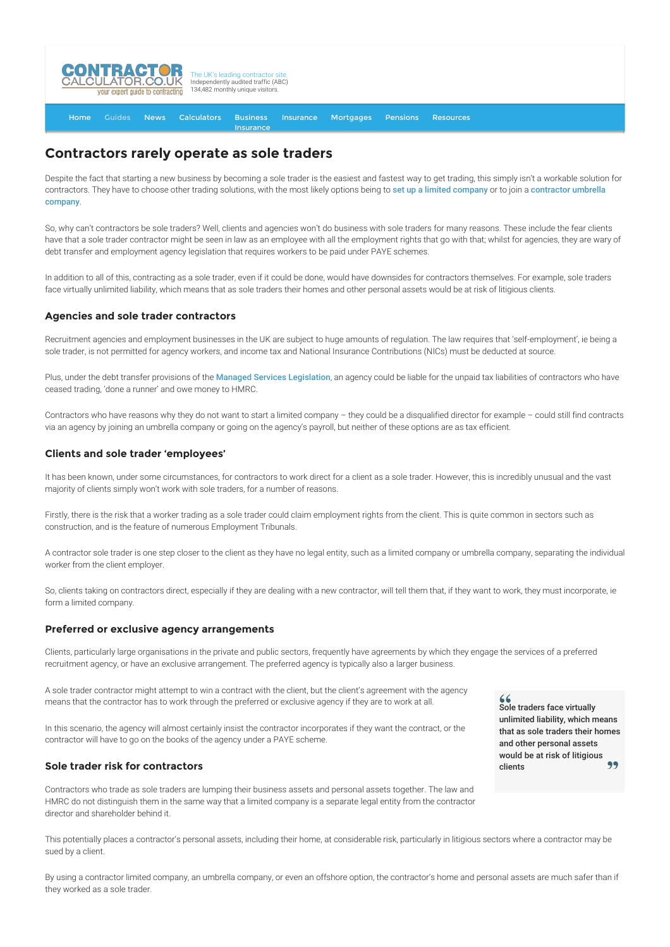

#### [Home](http://www.contractorcalculator.co.uk/) [Guides](http://www.contractorcalculator.co.uk/Articles.aspx) [News](http://www.contractorcalculator.co.uk/Contractor_News.aspx) [Calculators](http://www.contractorcalculator.co.uk/Calculators.aspx) Business **[Insurance](http://www.contractorcalculator.co.uk/Contractor_Insurances.aspx)** [Insurance](http://www.contractorcalculator.co.uk/Insurance.aspx) [Mortgages](http://www.contractorcalculator.co.uk/Contractor_Mortgages.aspx) [Pensions](http://www.contractorcalculator.co.uk/Contractor_Pensions.aspx) [Resources](http://www.contractorcalculator.co.uk/Contractor_Resources.aspx)

# **Contractors rarely operate as sole traders**

Despite the fact that starting a new business by becoming a sole trader is the easiest and fastest way to get trading, this simply isn't a workable solution for [contractors. They have to choose other trading solutions, with the most likely options being to](http://www.contractorcalculator.co.uk/joining_a_contractor_umbrella_scheme.aspx) [set up a limited company](http://www.contractorcalculator.co.uk/setting_up_limited_company_contracting.aspx) or to join a contractor umbrella company.

So, why can't contractors be sole traders? Well, clients and agencies won't do business with sole traders for many reasons. These include the fear clients have that a sole trader contractor might be seen in law as an employee with all the employment rights that go with that; whilst for agencies, they are wary of debt transfer and employment agency legislation that requires workers to be paid under PAYE schemes.

In addition to all of this, contracting as a sole trader, even if it could be done, would have downsides for contractors themselves. For example, sole traders face virtually unlimited liability, which means that as sole traders their homes and other personal assets would be at risk of litigious clients.

# **Agencies and sole trader contractors**

Recruitment agencies and employment businesses in the UK are subject to huge amounts of regulation. The law requires that 'self-employment', ie being a sole trader, is not permitted for agency workers, and income tax and National Insurance Contributions (NICs) must be deducted at source.

Plus, under the debt transfer provisions of the [Managed Services Legislation](http://www.contractorcalculator.co.uk/managed_service_companies.aspx), an agency could be liable for the unpaid tax liabilities of contractors who have ceased trading, 'done a runner' and owe money to HMRC.

Contractors who have reasons why they do not want to start a limited company – they could be a disqualified director for example – could still find contracts via an agency by joining an umbrella company or going on the agency's payroll, but neither of these options are as tax efficient.

### **Clients and sole trader 'employees'**

It has been known, under some circumstances, for contractors to work direct for a client as a sole trader. However, this is incredibly unusual and the vast majority of clients simply won't work with sole traders, for a number of reasons.

Firstly, there is the risk that a worker trading as a sole trader could claim employment rights from the client. This is quite common in sectors such as construction, and is the feature of numerous Employment Tribunals.

A contractor sole trader is one step closer to the client as they have no legal entity, such as a limited company or umbrella company, separating the individual worker from the client employer.

So, clients taking on contractors direct, especially if they are dealing with a new contractor, will tell them that, if they want to work, they must incorporate, ie form a limited company.

# **Preferred or exclusive agency arrangements**

Clients, particularly large organisations in the private and public sectors, frequently have agreements by which they engage the services of a preferred recruitment agency, or have an exclusive arrangement. The preferred agency is typically also a larger business.

A sole trader contractor might attempt to win a contract with the client, but the client's agreement with the agency means that the contractor has to work through the preferred or exclusive agency if they are to work at all.

In this scenario, the agency will almost certainly insist the contractor incorporates if they want the contract, or the contractor will have to go on the books of the agency under a PAYE scheme.

# **Sole trader risk for contractors**

Contractors who trade as sole traders are lumping their business assets and personal assets together. The law and HMRC do not distinguish them in the same way that a limited company is a separate legal entity from the contractor director and shareholder behind it.

Sole traders face virtually unlimited liability, which means that as sole traders their homes and other personal assets would be at risk of litigious clients

 $66$ 

This potentially places a contractor's personal assets, including their home, at considerable risk, particularly in litigious sectors where a contractor may be sued by a client.

By using a contractor limited company, an umbrella company, or even an offshore option, the contractor's home and personal assets are much safer than if they worked as a sole trader.